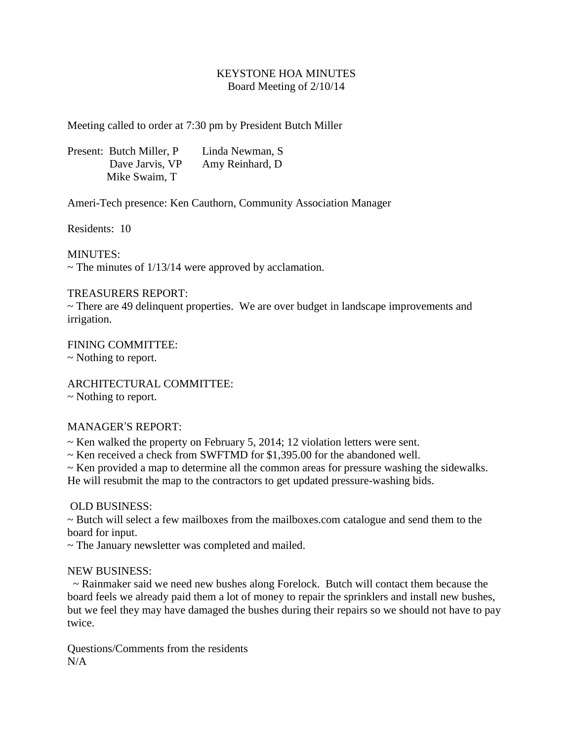# KEYSTONE HOA MINUTES Board Meeting of 2/10/14

Meeting called to order at 7:30 pm by President Butch Miller

Present: Butch Miller, P Linda Newman, S Dave Jarvis, VP Amy Reinhard, D Mike Swaim, T

Ameri-Tech presence: Ken Cauthorn, Community Association Manager

Residents: 10

MINUTES:

 $\sim$  The minutes of 1/13/14 were approved by acclamation.

## TREASURERS REPORT:

~ There are 49 delinquent properties. We are over budget in landscape improvements and irrigation.

FINING COMMITTEE: ~ Nothing to report.

ARCHITECTURAL COMMITTEE:

~ Nothing to report.

# MANAGER'S REPORT:

 $\sim$  Ken walked the property on February 5, 2014; 12 violation letters were sent.

~ Ken received a check from SWFTMD for \$1,395.00 for the abandoned well.

~ Ken provided a map to determine all the common areas for pressure washing the sidewalks.

He will resubmit the map to the contractors to get updated pressure-washing bids.

#### OLD BUSINESS:

~ Butch will select a few mailboxes from the mailboxes.com catalogue and send them to the board for input.

~ The January newsletter was completed and mailed.

### NEW BUSINESS:

 $\sim$  Rainmaker said we need new bushes along Forelock. Butch will contact them because the board feels we already paid them a lot of money to repair the sprinklers and install new bushes, but we feel they may have damaged the bushes during their repairs so we should not have to pay twice.

Questions/Comments from the residents  $N/A$